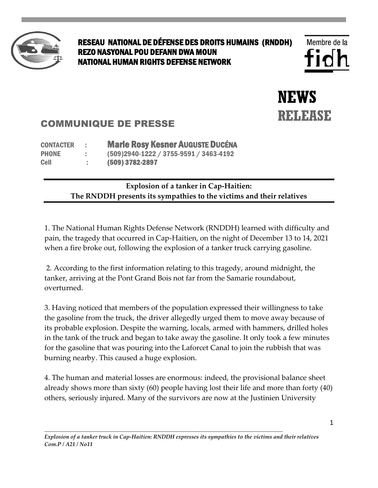

## RESEAU NATIONAL DE DÉFENSE DES DROITS HUMAINS (RNDDH) REZO NASYONAL POU DEFANN DWA MOUN NATIONAL HUMAN RIGHTS DEFENSE NETWORK

**NEWS RELEASE** 

## COMMUNIQUE DE PRESSE

CONTACTER : Marie Rosy Kesner AUGUSTE DUCÉNA PHONE : (509)2940-1222 / 3755-9591 / 3463-4192 Cell : (509) 3782-2897

## **Explosion of a tanker in Cap-Haitien: The RNDDH presents its sympathies to the victims and their relatives**

1. The National Human Rights Defense Network (RNDDH) learned with difficulty and pain, the tragedy that occurred in Cap-Haitien, on the night of December 13 to 14, 2021 when a fire broke out, following the explosion of a tanker truck carrying gasoline.

2. According to the first information relating to this tragedy, around midnight, the tanker, arriving at the Pont Grand Bois not far from the Samarie roundabout, overturned.

3. Having noticed that members of the population expressed their willingness to take the gasoline from the truck, the driver allegedly urged them to move away because of its probable explosion. Despite the warning, locals, armed with hammers, drilled holes in the tank of the truck and began to take away the gasoline. It only took a few minutes for the gasoline that was pouring into the Laforcet Canal to join the rubbish that was burning nearby. This caused a huge explosion.

4. The human and material losses are enormous: indeed, the provisional balance sheet already shows more than sixty (60) people having lost their life and more than forty (40) others, seriously injured. Many of the survivors are now at the Justinien University

*\_\_\_\_\_\_\_\_\_\_\_\_\_\_\_\_\_\_\_\_\_\_\_\_\_\_\_\_\_\_\_\_\_\_\_\_\_\_\_\_\_\_\_\_\_\_\_\_\_\_\_\_\_\_\_\_\_\_\_\_\_\_\_\_\_\_\_\_\_\_\_\_\_\_\_\_\_\_\_\_\_\_\_\_\_\_*